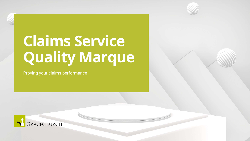# **Claims Service Quality Marque**

Proving your claims performance



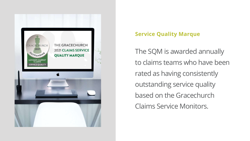

- 
- 
- 
- 
- The SQM is awarded annually to claims teams who have been rated as having consistently outstanding service quality based on the Gracechurch Claims Service Monitors.

## **Service Quality Marque**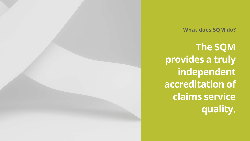**The SQM provides a truly independent accreditation of claims service quality.**



### **What does SQM do?**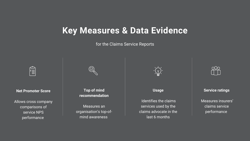**Net Promoter Score**

Allows cross company comparisons of service NPS performance



**Top of mind recommendation**

Measures an organisation's top-ofmind awareness



#### **Usage**



Identifies the claims services used by the claims advocate in the last 6 months



## **Key Measures & Data Evidence**

for the Claims Service Reports



#### **Service ratings**

Measures insurers' claims service performance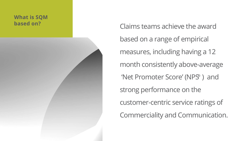- Claims teams achieve the award
- based on a range of empirical
- measures, including having a 12
- month consistently above-average
- 'Net Promoter Score' (NPS<sup>®</sup>) and
- strong performance on the
- customer-centric service ratings of
- Commerciality and Communication.

## **What is SQM based on?**

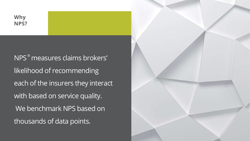NPS measures claims brokers' ®likelihood of recommending each of the insurers they interact with based on service quality. We benchmark NPS based on thousands of data points.



### **Why NPS?**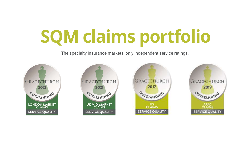# **SQM claims portfolio**

The specialty insurance markets' only independent service ratings.



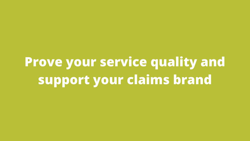**Prove your service quality and support your claims brand**